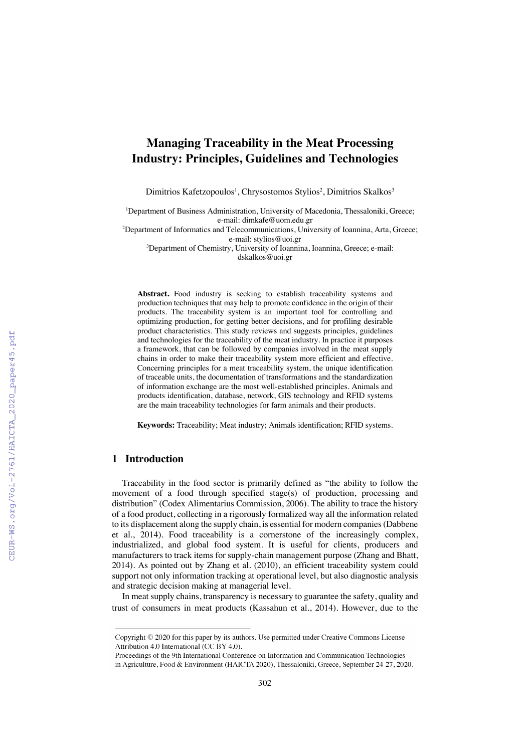# **Managing Traceability in the Meat Processing Industry: Principles, Guidelines and Technologies**

Dimitrios Kafetzopoulos<sup>1</sup>, Chrysostomos Stylios<sup>2</sup>, Dimitrios Skalkos<sup>3</sup>

<sup>1</sup>Department of Business Administration, University of Macedonia, Thessaloniki, Greece; e-mail: dimkafe@uom.edu.gr

<sup>2</sup>Department of Informatics and Telecommunications, University of Ioannina, Arta, Greece; e-mail: stylios@uoi.gr

3 Department of Chemistry, University of Ioannina, Ioannina, Greece; e-mail: dskalkos@uoi.gr

Abstract. Food industry is seeking to establish traceability systems and production techniques that may help to promote confidence in the origin of their products. The traceability system is an important tool for controlling and optimizing production, for getting better decisions, and for profiling desirable product characteristics. This study reviews and suggests principles, guidelines and technologies for the traceability of the meat industry. In practice it purposes a framework, that can be followed by companies involved in the meat supply chains in order to make their traceability system more efficient and effective. Concerning principles for a meat traceability system, the unique identification of traceable units, the documentation of transformations and the standardization of information exchange are the most well-established principles. Animals and products identification, database, network, GIS technology and RFID systems are the main traceability technologies for farm animals and their products.

**Keywords:** Traceability; Meat industry; Animals identification; RFID systems.

# **1 Introduction**

Traceability in the food sector is primarily defined as "the ability to follow the movement of a food through specified stage(s) of production, processing and distribution" (Codex Alimentarius Commission, 2006). The ability to trace the history of a food product, collecting in a rigorously formalized way all the information related to its displacement along the supply chain, is essential for modern companies (Dabbene et al., 2014). Food traceability is a cornerstone of the increasingly complex, industrialized, and global food system. It is useful for clients, producers and manufacturers to track items for supply-chain management purpose (Zhang and Bhatt, 2014). As pointed out by Zhang et al. (2010), an efficient traceability system could support not only information tracking at operational level, but also diagnostic analysis and strategic decision making at managerial level.

In meat supply chains, transparency is necessary to guarantee the safety, quality and trust of consumers in meat products (Kassahun et al., 2014). However, due to the

Copyright  $\odot$  2020 for this paper by its authors. Use permitted under Creative Commons License Attribution 4.0 International (CC BY 4.0).

Proceedings of the 9th International Conference on Information and Communication Technologies in Agriculture, Food & Environment (HAICTA 2020), Thessaloniki, Greece, September 24-27, 2020.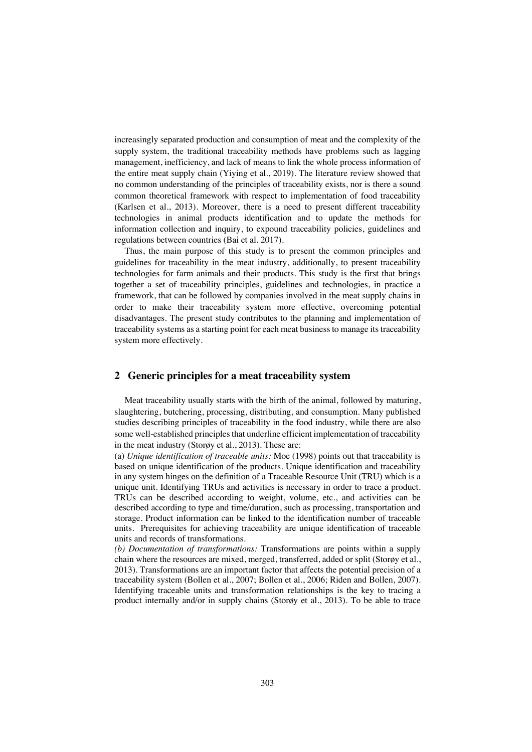increasingly separated production and consumption of meat and the complexity of the supply system, the traditional traceability methods have problems such as lagging management, inefficiency, and lack of means to link the whole process information of the entire meat supply chain (Yiying et al., 2019). The literature review showed that no common understanding of the principles of traceability exists, nor is there a sound common theoretical framework with respect to implementation of food traceability (Karlsen et al., 2013). Moreover, there is a need to present different traceability technologies in animal products identification and to update the methods for information collection and inquiry, to expound traceability policies, guidelines and regulations between countries (Bai et al. 2017).

Thus, the main purpose of this study is to present the common principles and guidelines for traceability in the meat industry, additionally, to present traceability technologies for farm animals and their products. This study is the first that brings together a set of traceability principles, guidelines and technologies, in practice a framework, that can be followed by companies involved in the meat supply chains in order to make their traceability system more effective, overcoming potential disadvantages. The present study contributes to the planning and implementation of traceability systems as a starting point for each meat business to manage its traceability system more effectively.

### **2 Generic principles for a meat traceability system**

Meat traceability usually starts with the birth of the animal, followed by maturing, slaughtering, butchering, processing, distributing, and consumption. Many published studies describing principles of traceability in the food industry, while there are also some well-established principles that underline efficient implementation of traceability in the meat industry (Storøy et al., 2013). These are:

(a) *Unique identification of traceable units:* Moe (1998) points out that traceability is based on unique identification of the products. Unique identification and traceability in any system hinges on the definition of a Traceable Resource Unit (TRU) which is a unique unit. Identifying TRUs and activities is necessary in order to trace a product. TRUs can be described according to weight, volume, etc., and activities can be described according to type and time/duration, such as processing, transportation and storage. Product information can be linked to the identification number of traceable units. Prerequisites for achieving traceability are unique identification of traceable units and records of transformations.

*(b) Documentation of transformations:* Transformations are points within a supply chain where the resources are mixed, merged, transferred, added or split (Storøy et al., 2013). Transformations are an important factor that affects the potential precision of a traceability system (Bollen et al., 2007; Bollen et al., 2006; Riden and Bollen, 2007). Identifying traceable units and transformation relationships is the key to tracing a product internally and/or in supply chains (Storøy et al., 2013). To be able to trace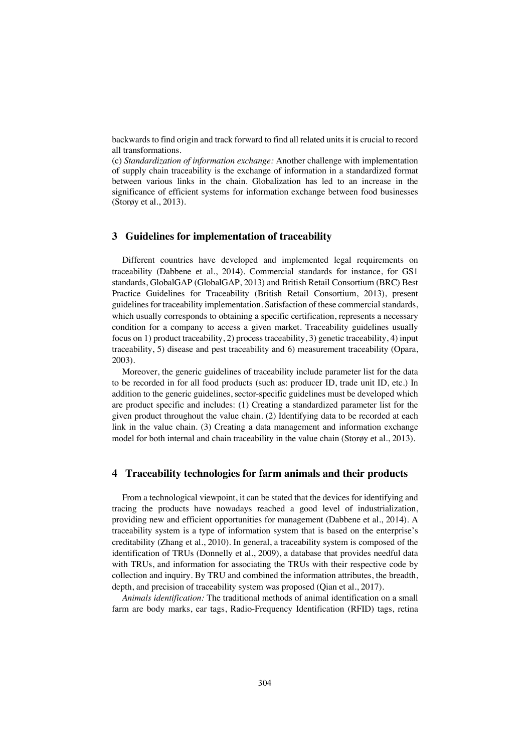backwards to find origin and track forward to find all related units it is crucial to record all transformations.

(c) *Standardization of information exchange:* Another challenge with implementation of supply chain traceability is the exchange of information in a standardized format between various links in the chain. Globalization has led to an increase in the significance of efficient systems for information exchange between food businesses (Storøy et al., 2013).

#### **3 Guidelines for implementation of traceability**

Different countries have developed and implemented legal requirements on traceability (Dabbene et al., 2014). Commercial standards for instance, for GS1 standards, GlobalGAP (GlobalGAP, 2013) and British Retail Consortium (BRC) Best Practice Guidelines for Traceability (British Retail Consortium, 2013), present guidelines for traceability implementation. Satisfaction of these commercial standards, which usually corresponds to obtaining a specific certification, represents a necessary condition for a company to access a given market. Traceability guidelines usually focus on 1) product traceability, 2) process traceability, 3) genetic traceability, 4) input traceability, 5) disease and pest traceability and 6) measurement traceability (Opara, 2003).

Moreover, the generic guidelines of traceability include parameter list for the data to be recorded in for all food products (such as: producer ID, trade unit ID, etc.) In addition to the generic guidelines, sector-specific guidelines must be developed which are product specific and includes: (1) Creating a standardized parameter list for the given product throughout the value chain. (2) Identifying data to be recorded at each link in the value chain. (3) Creating a data management and information exchange model for both internal and chain traceability in the value chain (Storøy et al., 2013).

#### **4 Traceability technologies for farm animals and their products**

From a technological viewpoint, it can be stated that the devices for identifying and tracing the products have nowadays reached a good level of industrialization, providing new and efficient opportunities for management (Dabbene et al., 2014). A traceability system is a type of information system that is based on the enterprise's creditability (Zhang et al., 2010). In general, a traceability system is composed of the identification of TRUs (Donnelly et al., 2009), a database that provides needful data with TRUs, and information for associating the TRUs with their respective code by collection and inquiry. By TRU and combined the information attributes, the breadth, depth, and precision of traceability system was proposed (Qian et al., 2017).

*Animals identification:* The traditional methods of animal identification on a small farm are body marks, ear tags, Radio-Frequency Identification (RFID) tags, retina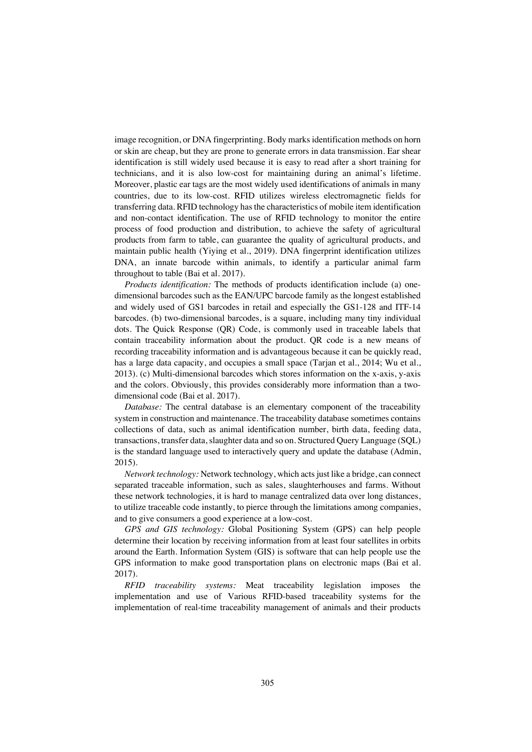image recognition, or DNA fingerprinting. Body marks identification methods on horn or skin are cheap, but they are prone to generate errors in data transmission. Ear shear identification is still widely used because it is easy to read after a short training for technicians, and it is also low-cost for maintaining during an animal's lifetime. Moreover, plastic ear tags are the most widely used identifications of animals in many countries, due to its low-cost. RFID utilizes wireless electromagnetic fields for transferring data. RFID technology has the characteristics of mobile item identification and non-contact identification. The use of RFID technology to monitor the entire process of food production and distribution, to achieve the safety of agricultural products from farm to table, can guarantee the quality of agricultural products, and maintain public health (Yiying et al., 2019). DNA fingerprint identification utilizes DNA, an innate barcode within animals, to identify a particular animal farm throughout to table (Bai et al. 2017).

*Products identification:* The methods of products identification include (a) onedimensional barcodes such as the EAN/UPC barcode family as the longest established and widely used of GS1 barcodes in retail and especially the GS1-128 and ITF-14 barcodes. (b) two-dimensional barcodes, is a square, including many tiny individual dots. The Quick Response (QR) Code, is commonly used in traceable labels that contain traceability information about the product. QR code is a new means of recording traceability information and is advantageous because it can be quickly read, has a large data capacity, and occupies a small space (Tarjan et al., 2014; Wu et al., 2013). (c) Multi-dimensional barcodes which stores information on the x-axis, y-axis and the colors. Obviously, this provides considerably more information than a twodimensional code (Bai et al. 2017).

*Database:* The central database is an elementary component of the traceability system in construction and maintenance. The traceability database sometimes contains collections of data, such as animal identification number, birth data, feeding data, transactions, transfer data, slaughter data and so on. Structured Query Language (SQL) is the standard language used to interactively query and update the database (Admin, 2015).

*Network technology:* Network technology, which acts just like a bridge, can connect separated traceable information, such as sales, slaughterhouses and farms. Without these network technologies, it is hard to manage centralized data over long distances, to utilize traceable code instantly, to pierce through the limitations among companies, and to give consumers a good experience at a low-cost.

*GPS and GIS technology:* Global Positioning System (GPS) can help people determine their location by receiving information from at least four satellites in orbits around the Earth. Information System (GIS) is software that can help people use the GPS information to make good transportation plans on electronic maps (Bai et al. 2017).

*RFID traceability systems:* Meat traceability legislation imposes the implementation and use of Various RFID-based traceability systems for the implementation of real-time traceability management of animals and their products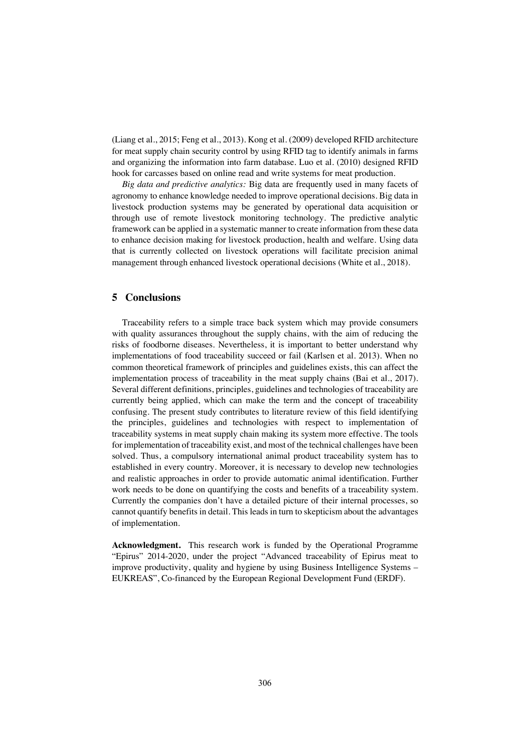(Liang et al., 2015; Feng et al., 2013). Kong et al. (2009) developed RFID architecture for meat supply chain security control by using RFID tag to identify animals in farms and organizing the information into farm database. Luo et al. (2010) designed RFID hook for carcasses based on online read and write systems for meat production.

*Big data and predictive analytics:* Big data are frequently used in many facets of agronomy to enhance knowledge needed to improve operational decisions. Big data in livestock production systems may be generated by operational data acquisition or through use of remote livestock monitoring technology. The predictive analytic framework can be applied in a systematic manner to create information from these data to enhance decision making for livestock production, health and welfare. Using data that is currently collected on livestock operations will facilitate precision animal management through enhanced livestock operational decisions (White et al., 2018).

#### **5 Conclusions**

Traceability refers to a simple trace back system which may provide consumers with quality assurances throughout the supply chains, with the aim of reducing the risks of foodborne diseases. Nevertheless, it is important to better understand why implementations of food traceability succeed or fail (Karlsen et al. 2013). When no common theoretical framework of principles and guidelines exists, this can affect the implementation process of traceability in the meat supply chains (Bai et al., 2017). Several different definitions, principles, guidelines and technologies of traceability are currently being applied, which can make the term and the concept of traceability confusing. The present study contributes to literature review of this field identifying the principles, guidelines and technologies with respect to implementation of traceability systems in meat supply chain making its system more effective. The tools for implementation of traceability exist, and most of the technical challenges have been solved. Thus, a compulsory international animal product traceability system has to established in every country. Moreover, it is necessary to develop new technologies and realistic approaches in order to provide automatic animal identification. Further work needs to be done on quantifying the costs and benefits of a traceability system. Currently the companies don't have a detailed picture of their internal processes, so cannot quantify benefits in detail. This leads in turn to skepticism about the advantages of implementation.

**Acknowledgment.** This research work is funded by the Operational Programme "Epirus" 2014-2020, under the project "Advanced traceability of Epirus meat to improve productivity, quality and hygiene by using Business Intelligence Systems – EUKREAS", Co-financed by the European Regional Development Fund (ERDF).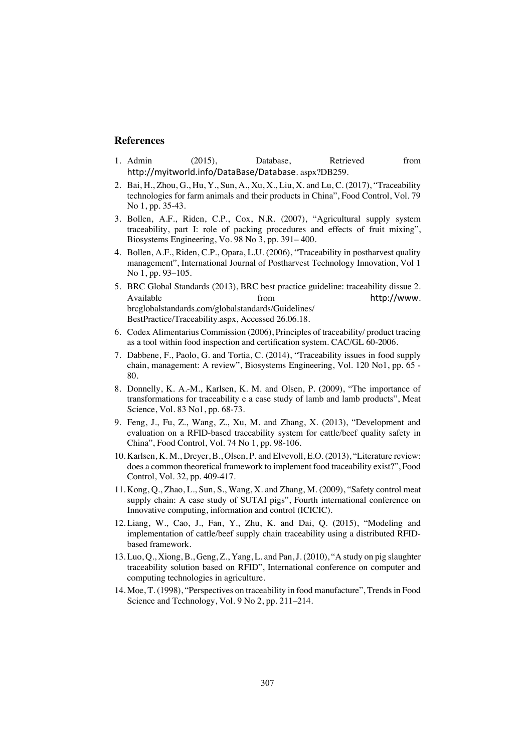## **References**

- 1. Admin (2015), Database, Retrieved from http://myitworld.info/DataBase/Database. aspx?DB259.
- 2. Bai, H., Zhou, G., Hu, Y., Sun, A., Xu, X., Liu, X. and Lu, C. (2017), "Traceability technologies for farm animals and their products in China", Food Control, Vol. 79 No 1, pp. 35-43.
- 3. Bollen, A.F., Riden, C.P., Cox, N.R. (2007), "Agricultural supply system traceability, part I: role of packing procedures and effects of fruit mixing", Biosystems Engineering, Vo. 98 No 3, pp. 391– 400.
- 4. Bollen, A.F., Riden, C.P., Opara, L.U. (2006), "Traceability in postharvest quality management", International Journal of Postharvest Technology Innovation, Vol 1 No 1, pp. 93–105.
- 5. BRC Global Standards (2013), BRC best practice guideline: traceability dissue 2. Available from from http://www. brcglobalstandards.com/globalstandards/Guidelines/ BestPractice/Traceability.aspx, Accessed 26.06.18.
- 6. Codex Alimentarius Commission (2006), Principles of traceability/ product tracing as a tool within food inspection and certification system. CAC/GL 60-2006.
- 7. Dabbene, F., Paolo, G. and Tortia, C. (2014), "Traceability issues in food supply chain, management: A review", Biosystems Engineering, Vol. 120 No1, pp. 65 - 80.
- 8. Donnelly, K. A.-M., Karlsen, K. M. and Olsen, P. (2009), "The importance of transformations for traceability e a case study of lamb and lamb products", Meat Science, Vol. 83 No1, pp. 68-73.
- 9. Feng, J., Fu, Z., Wang, Z., Xu, M. and Zhang, X. (2013), "Development and evaluation on a RFID-based traceability system for cattle/beef quality safety in China", Food Control, Vol. 74 No 1, pp. 98-106.
- 10. Karlsen, K. M., Dreyer, B., Olsen, P. and Elvevoll, E.O. (2013), "Literature review: does a common theoretical framework to implement food traceability exist?", Food Control, Vol. 32, pp. 409-417.
- 11. Kong, Q., Zhao, L., Sun, S., Wang, X. and Zhang, M. (2009), "Safety control meat supply chain: A case study of SUTAI pigs", Fourth international conference on Innovative computing, information and control (ICICIC).
- 12. Liang, W., Cao, J., Fan, Y., Zhu, K. and Dai, Q. (2015), "Modeling and implementation of cattle/beef supply chain traceability using a distributed RFIDbased framework.
- 13. Luo, Q., Xiong, B., Geng, Z., Yang, L. and Pan, J. (2010), "A study on pig slaughter traceability solution based on RFID", International conference on computer and computing technologies in agriculture.
- 14. Moe, T. (1998), "Perspectives on traceability in food manufacture", Trends in Food Science and Technology, Vol. 9 No 2, pp. 211–214.